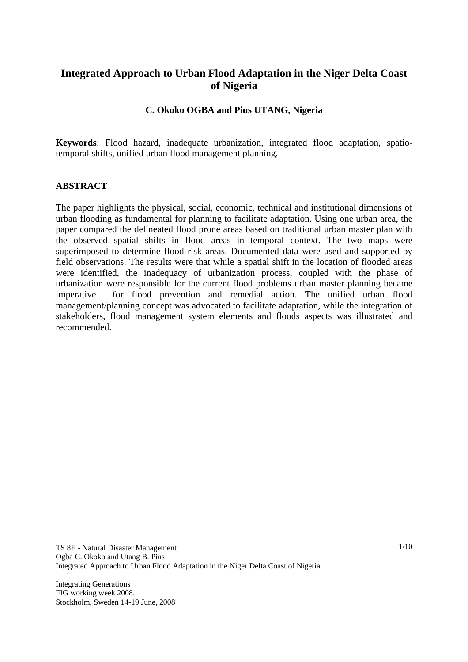# **Integrated Approach to Urban Flood Adaptation in the Niger Delta Coast of Nigeria**

## **C. Okoko OGBA and Pius UTANG, Nigeria**

**Keywords**: Flood hazard, inadequate urbanization, integrated flood adaptation, spatiotemporal shifts, unified urban flood management planning.

#### **ABSTRACT**

The paper highlights the physical, social, economic, technical and institutional dimensions of urban flooding as fundamental for planning to facilitate adaptation. Using one urban area, the paper compared the delineated flood prone areas based on traditional urban master plan with the observed spatial shifts in flood areas in temporal context. The two maps were superimposed to determine flood risk areas. Documented data were used and supported by field observations. The results were that while a spatial shift in the location of flooded areas were identified, the inadequacy of urbanization process, coupled with the phase of urbanization were responsible for the current flood problems urban master planning became imperative for flood prevention and remedial action. The unified urban flood management/planning concept was advocated to facilitate adaptation, while the integration of stakeholders, flood management system elements and floods aspects was illustrated and recommended.

Integrating Generations FIG working week 2008. Stockholm, Sweden 14-19 June, 2008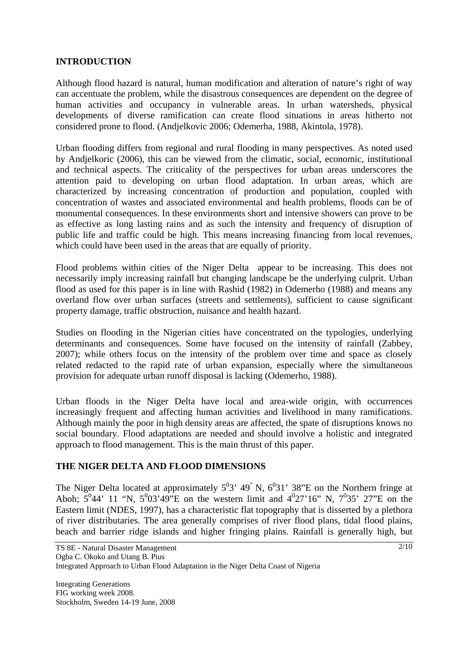#### **INTRODUCTION**

Although flood hazard is natural, human modification and alteration of nature's right of way can accentuate the problem, while the disastrous consequences are dependent on the degree of human activities and occupancy in vulnerable areas. In urban watersheds, physical developments of diverse ramification can create flood situations in areas hitherto not considered prone to flood. (Andjelkovic 2006; Odemerha, 1988, Akintola, 1978).

Urban flooding differs from regional and rural flooding in many perspectives. As noted used by Andjelkoric (2006), this can be viewed from the climatic, social, economic, institutional and technical aspects. The criticality of the perspectives for urban areas underscores the attention paid to developing on urban flood adaptation. In urban areas, which are characterized by increasing concentration of production and population, coupled with concentration of wastes and associated environmental and health problems, floods can be of monumental consequences. In these environments short and intensive showers can prove to be as effective as long lasting rains and as such the intensity and frequency of disruption of public life and traffic could be high. This means increasing financing from local revenues, which could have been used in the areas that are equally of priority.

Flood problems within cities of the Niger Delta appear to be increasing. This does not necessarily imply increasing rainfall but changing landscape be the underlying culprit. Urban flood as used for this paper is in line with Rashid (1982) in Odemerho (1988) and means any overland flow over urban surfaces (streets and settlements), sufficient to cause significant property damage, traffic obstruction, nuisance and health hazard.

Studies on flooding in the Nigerian cities have concentrated on the typologies, underlying determinants and consequences. Some have focused on the intensity of rainfall (Zabbey, 2007); while others focus on the intensity of the problem over time and space as closely related redacted to the rapid rate of urban expansion, especially where the simultaneous provision for adequate urban runoff disposal is lacking (Odemerho, 1988).

Urban floods in the Niger Delta have local and area-wide origin, with occurrences increasingly frequent and affecting human activities and livelihood in many ramifications. Although mainly the poor in high density areas are affected, the spate of disruptions knows no social boundary. Flood adaptations are needed and should involve a holistic and integrated approach to flood management. This is the main thrust of this paper.

## **THE NIGER DELTA AND FLOOD DIMENSIONS**

The Niger Delta located at approximately  $5^03'$  49<sup>"</sup> N,  $6^031'$  38"E on the Northern fringe at Aboh;  $5^044'$  11 "N,  $5^003'49''E$  on the western limit and  $4^027'16''$  N,  $7^035'$  27"E on the Eastern limit (NDES, 1997), has a characteristic flat topography that is disserted by a plethora of river distributaries. The area generally comprises of river flood plans, tidal flood plains, beach and barrier ridge islands and higher fringing plains. Rainfall is generally high, but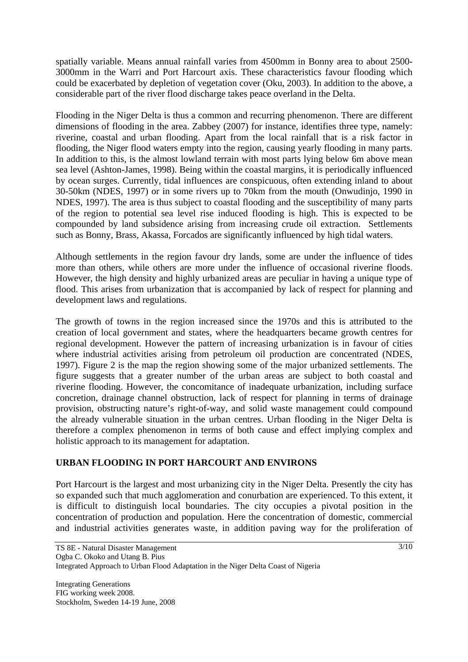spatially variable. Means annual rainfall varies from 4500mm in Bonny area to about 2500- 3000mm in the Warri and Port Harcourt axis. These characteristics favour flooding which could be exacerbated by depletion of vegetation cover (Oku, 2003). In addition to the above, a considerable part of the river flood discharge takes peace overland in the Delta.

Flooding in the Niger Delta is thus a common and recurring phenomenon. There are different dimensions of flooding in the area. Zabbey (2007) for instance, identifies three type, namely: riverine, coastal and urban flooding. Apart from the local rainfall that is a risk factor in flooding, the Niger flood waters empty into the region, causing yearly flooding in many parts. In addition to this, is the almost lowland terrain with most parts lying below 6m above mean sea level (Ashton-James, 1998). Being within the coastal margins, it is periodically influenced by ocean surges. Currently, tidal influences are conspicuous, often extending inland to about 30-50km (NDES, 1997) or in some rivers up to 70km from the mouth (Onwudinjo, 1990 in NDES, 1997). The area is thus subject to coastal flooding and the susceptibility of many parts of the region to potential sea level rise induced flooding is high. This is expected to be compounded by land subsidence arising from increasing crude oil extraction. Settlements such as Bonny, Brass, Akassa, Forcados are significantly influenced by high tidal waters.

Although settlements in the region favour dry lands, some are under the influence of tides more than others, while others are more under the influence of occasional riverine floods. However, the high density and highly urbanized areas are peculiar in having a unique type of flood. This arises from urbanization that is accompanied by lack of respect for planning and development laws and regulations.

The growth of towns in the region increased since the 1970s and this is attributed to the creation of local government and states, where the headquarters became growth centres for regional development. However the pattern of increasing urbanization is in favour of cities where industrial activities arising from petroleum oil production are concentrated (NDES, 1997). Figure 2 is the map the region showing some of the major urbanized settlements. The figure suggests that a greater number of the urban areas are subject to both coastal and riverine flooding. However, the concomitance of inadequate urbanization, including surface concretion, drainage channel obstruction, lack of respect for planning in terms of drainage provision, obstructing nature's right-of-way, and solid waste management could compound the already vulnerable situation in the urban centres. Urban flooding in the Niger Delta is therefore a complex phenomenon in terms of both cause and effect implying complex and holistic approach to its management for adaptation.

## **URBAN FLOODING IN PORT HARCOURT AND ENVIRONS**

Port Harcourt is the largest and most urbanizing city in the Niger Delta. Presently the city has so expanded such that much agglomeration and conurbation are experienced. To this extent, it is difficult to distinguish local boundaries. The city occupies a pivotal position in the concentration of production and population. Here the concentration of domestic, commercial and industrial activities generates waste, in addition paving way for the proliferation of

Integrating Generations FIG working week 2008. Stockholm, Sweden 14-19 June, 2008  $3/10$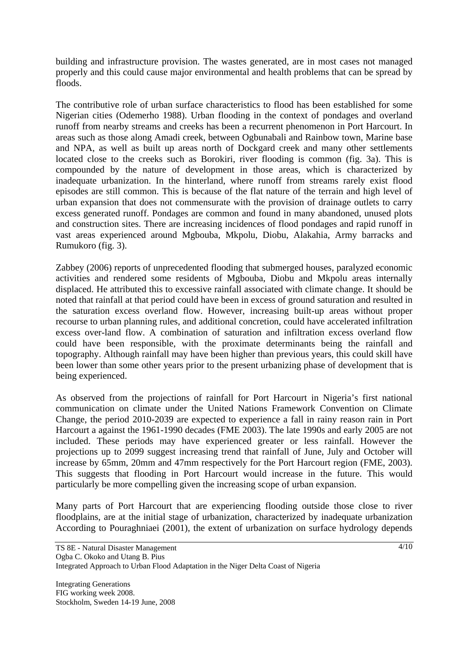building and infrastructure provision. The wastes generated, are in most cases not managed properly and this could cause major environmental and health problems that can be spread by floods.

The contributive role of urban surface characteristics to flood has been established for some Nigerian cities (Odemerho 1988). Urban flooding in the context of pondages and overland runoff from nearby streams and creeks has been a recurrent phenomenon in Port Harcourt. In areas such as those along Amadi creek, between Ogbunabali and Rainbow town, Marine base and NPA, as well as built up areas north of Dockgard creek and many other settlements located close to the creeks such as Borokiri, river flooding is common (fig. 3a). This is compounded by the nature of development in those areas, which is characterized by inadequate urbanization. In the hinterland, where runoff from streams rarely exist flood episodes are still common. This is because of the flat nature of the terrain and high level of urban expansion that does not commensurate with the provision of drainage outlets to carry excess generated runoff. Pondages are common and found in many abandoned, unused plots and construction sites. There are increasing incidences of flood pondages and rapid runoff in vast areas experienced around Mgbouba, Mkpolu, Diobu, Alakahia, Army barracks and Rumukoro (fig. 3).

Zabbey (2006) reports of unprecedented flooding that submerged houses, paralyzed economic activities and rendered some residents of Mgbouba, Diobu and Mkpolu areas internally displaced. He attributed this to excessive rainfall associated with climate change. It should be noted that rainfall at that period could have been in excess of ground saturation and resulted in the saturation excess overland flow. However, increasing built-up areas without proper recourse to urban planning rules, and additional concretion, could have accelerated infiltration excess over-land flow. A combination of saturation and infiltration excess overland flow could have been responsible, with the proximate determinants being the rainfall and topography. Although rainfall may have been higher than previous years, this could skill have been lower than some other years prior to the present urbanizing phase of development that is being experienced.

As observed from the projections of rainfall for Port Harcourt in Nigeria's first national communication on climate under the United Nations Framework Convention on Climate Change, the period 2010-2039 are expected to experience a fall in rainy reason rain in Port Harcourt a against the 1961-1990 decades (FME 2003). The late 1990s and early 2005 are not included. These periods may have experienced greater or less rainfall. However the projections up to 2099 suggest increasing trend that rainfall of June, July and October will increase by 65mm, 20mm and 47mm respectively for the Port Harcourt region (FME, 2003). This suggests that flooding in Port Harcourt would increase in the future. This would particularly be more compelling given the increasing scope of urban expansion.

Many parts of Port Harcourt that are experiencing flooding outside those close to river floodplains, are at the initial stage of urbanization, characterized by inadequate urbanization According to Pouraghniaei (2001), the extent of urbanization on surface hydrology depends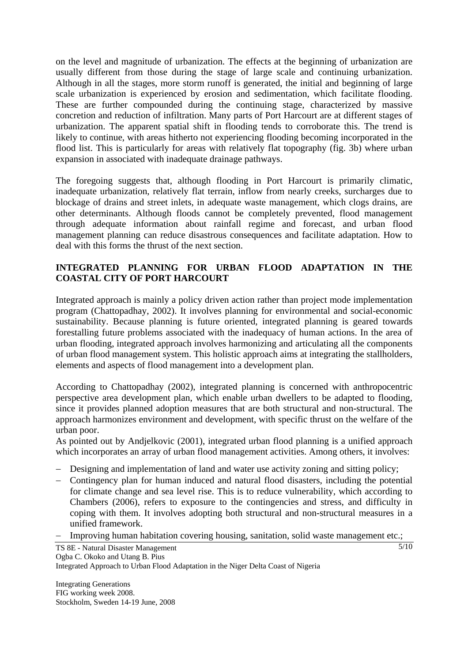on the level and magnitude of urbanization. The effects at the beginning of urbanization are usually different from those during the stage of large scale and continuing urbanization. Although in all the stages, more storm runoff is generated, the initial and beginning of large scale urbanization is experienced by erosion and sedimentation, which facilitate flooding. These are further compounded during the continuing stage, characterized by massive concretion and reduction of infiltration. Many parts of Port Harcourt are at different stages of urbanization. The apparent spatial shift in flooding tends to corroborate this. The trend is likely to continue, with areas hitherto not experiencing flooding becoming incorporated in the flood list. This is particularly for areas with relatively flat topography (fig. 3b) where urban expansion in associated with inadequate drainage pathways.

The foregoing suggests that, although flooding in Port Harcourt is primarily climatic, inadequate urbanization, relatively flat terrain, inflow from nearly creeks, surcharges due to blockage of drains and street inlets, in adequate waste management, which clogs drains, are other determinants. Although floods cannot be completely prevented, flood management through adequate information about rainfall regime and forecast, and urban flood management planning can reduce disastrous consequences and facilitate adaptation. How to deal with this forms the thrust of the next section.

## **INTEGRATED PLANNING FOR URBAN FLOOD ADAPTATION IN THE COASTAL CITY OF PORT HARCOURT**

Integrated approach is mainly a policy driven action rather than project mode implementation program (Chattopadhay, 2002). It involves planning for environmental and social-economic sustainability. Because planning is future oriented, integrated planning is geared towards forestalling future problems associated with the inadequacy of human actions. In the area of urban flooding, integrated approach involves harmonizing and articulating all the components of urban flood management system. This holistic approach aims at integrating the stallholders, elements and aspects of flood management into a development plan.

According to Chattopadhay (2002), integrated planning is concerned with anthropocentric perspective area development plan, which enable urban dwellers to be adapted to flooding, since it provides planned adoption measures that are both structural and non-structural. The approach harmonizes environment and development, with specific thrust on the welfare of the urban poor.

As pointed out by Andjelkovic (2001), integrated urban flood planning is a unified approach which incorporates an array of urban flood management activities. Among others, it involves:

- − Designing and implementation of land and water use activity zoning and sitting policy;
- − Contingency plan for human induced and natural flood disasters, including the potential for climate change and sea level rise. This is to reduce vulnerability, which according to Chambers (2006), refers to exposure to the contingencies and stress, and difficulty in coping with them. It involves adopting both structural and non-structural measures in a unified framework.
- − Improving human habitation covering housing, sanitation, solid waste management etc.;

TS 8E - Natural Disaster Management

Ogba C. Okoko and Utang B. Pius

Integrated Approach to Urban Flood Adaptation in the Niger Delta Coast of Nigeria

Integrating Generations FIG working week 2008. Stockholm, Sweden 14-19 June, 2008  $\frac{5}{10}$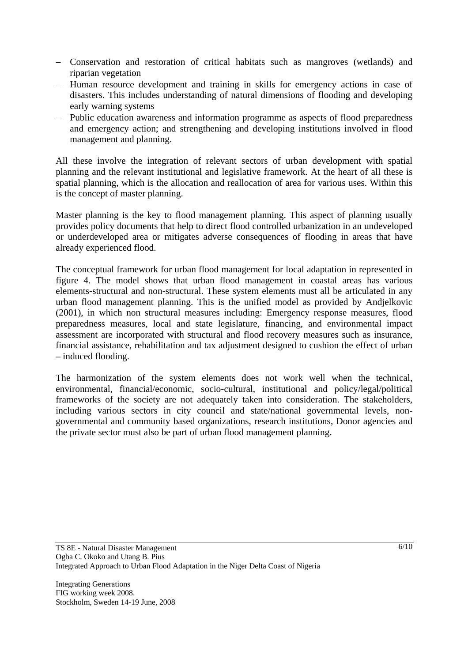- − Conservation and restoration of critical habitats such as mangroves (wetlands) and riparian vegetation
- − Human resource development and training in skills for emergency actions in case of disasters. This includes understanding of natural dimensions of flooding and developing early warning systems
- − Public education awareness and information programme as aspects of flood preparedness and emergency action; and strengthening and developing institutions involved in flood management and planning.

All these involve the integration of relevant sectors of urban development with spatial planning and the relevant institutional and legislative framework. At the heart of all these is spatial planning, which is the allocation and reallocation of area for various uses. Within this is the concept of master planning.

Master planning is the key to flood management planning. This aspect of planning usually provides policy documents that help to direct flood controlled urbanization in an undeveloped or underdeveloped area or mitigates adverse consequences of flooding in areas that have already experienced flood.

The conceptual framework for urban flood management for local adaptation in represented in figure 4. The model shows that urban flood management in coastal areas has various elements-structural and non-structural. These system elements must all be articulated in any urban flood management planning. This is the unified model as provided by Andjelkovic (2001), in which non structural measures including: Emergency response measures, flood preparedness measures, local and state legislature, financing, and environmental impact assessment are incorporated with structural and flood recovery measures such as insurance, financial assistance, rehabilitation and tax adjustment designed to cushion the effect of urban – induced flooding.

The harmonization of the system elements does not work well when the technical, environmental, financial/economic, socio-cultural, institutional and policy/legal/political frameworks of the society are not adequately taken into consideration. The stakeholders, including various sectors in city council and state/national governmental levels, nongovernmental and community based organizations, research institutions, Donor agencies and the private sector must also be part of urban flood management planning.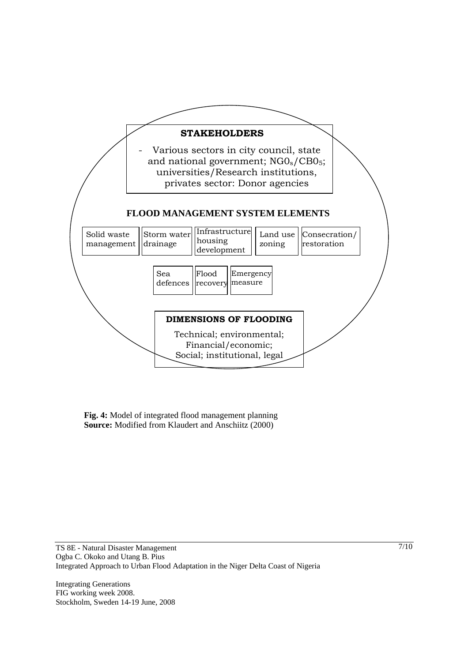

**Fig. 4:** Model of integrated flood management planning **Source:** Modified from Klaudert and Anschiitz (2000)

Integrating Generations FIG working week 2008. Stockholm, Sweden 14-19 June, 2008 7/10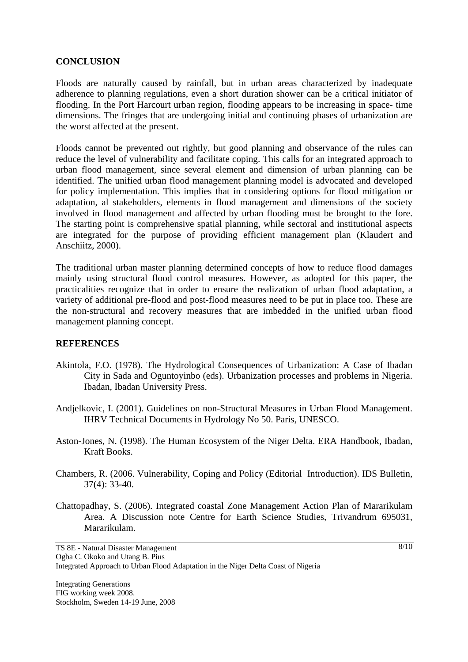#### **CONCLUSION**

Floods are naturally caused by rainfall, but in urban areas characterized by inadequate adherence to planning regulations, even a short duration shower can be a critical initiator of flooding. In the Port Harcourt urban region, flooding appears to be increasing in space- time dimensions. The fringes that are undergoing initial and continuing phases of urbanization are the worst affected at the present.

Floods cannot be prevented out rightly, but good planning and observance of the rules can reduce the level of vulnerability and facilitate coping. This calls for an integrated approach to urban flood management, since several element and dimension of urban planning can be identified. The unified urban flood management planning model is advocated and developed for policy implementation. This implies that in considering options for flood mitigation or adaptation, al stakeholders, elements in flood management and dimensions of the society involved in flood management and affected by urban flooding must be brought to the fore. The starting point is comprehensive spatial planning, while sectoral and institutional aspects are integrated for the purpose of providing efficient management plan (Klaudert and Anschiitz, 2000).

The traditional urban master planning determined concepts of how to reduce flood damages mainly using structural flood control measures. However, as adopted for this paper, the practicalities recognize that in order to ensure the realization of urban flood adaptation, a variety of additional pre-flood and post-flood measures need to be put in place too. These are the non-structural and recovery measures that are imbedded in the unified urban flood management planning concept.

#### **REFERENCES**

- Akintola, F.O. (1978). The Hydrological Consequences of Urbanization: A Case of Ibadan City in Sada and Oguntoyinbo (eds). Urbanization processes and problems in Nigeria. Ibadan, Ibadan University Press.
- Andjelkovic, I. (2001). Guidelines on non-Structural Measures in Urban Flood Management. IHRV Technical Documents in Hydrology No 50. Paris, UNESCO.
- Aston-Jones, N. (1998). The Human Ecosystem of the Niger Delta. ERA Handbook, Ibadan, Kraft Books.
- Chambers, R. (2006. Vulnerability, Coping and Policy (Editorial Introduction). IDS Bulletin, 37(4): 33-40.
- Chattopadhay, S. (2006). Integrated coastal Zone Management Action Plan of Mararikulam Area. A Discussion note Centre for Earth Science Studies, Trivandrum 695031, Mararikulam.

TS 8E - Natural Disaster Management Ogba C. Okoko and Utang B. Pius Integrated Approach to Urban Flood Adaptation in the Niger Delta Coast of Nigeria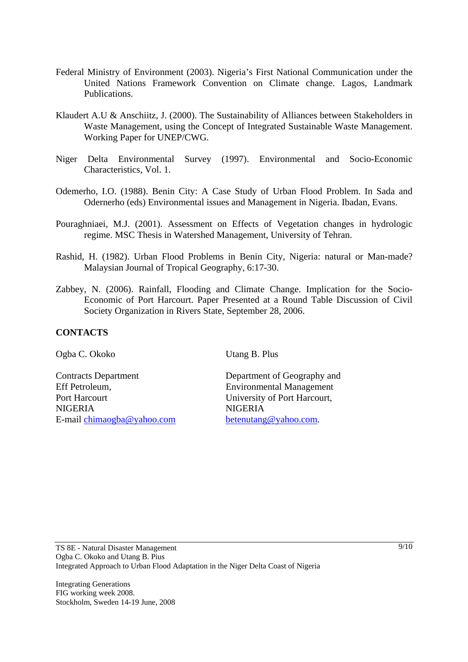- Federal Ministry of Environment (2003). Nigeria's First National Communication under the United Nations Framework Convention on Climate change. Lagos, Landmark Publications.
- Klaudert A.U & Anschiitz, J. (2000). The Sustainability of Alliances between Stakeholders in Waste Management, using the Concept of Integrated Sustainable Waste Management. Working Paper for UNEP/CWG.
- Niger Delta Environmental Survey (1997). Environmental and Socio-Economic Characteristics, Vol. 1.
- Odemerho, I.O. (1988). Benin City: A Case Study of Urban Flood Problem. In Sada and Odernerho (eds) Environmental issues and Management in Nigeria. Ibadan, Evans.
- Pouraghniaei, M.J. (2001). Assessment on Effects of Vegetation changes in hydrologic regime. MSC Thesis in Watershed Management, University of Tehran.
- Rashid, H. (1982). Urban Flood Problems in Benin City, Nigeria: natural or Man-made? Malaysian Journal of Tropical Geography, 6:17-30.
- Zabbey, N. (2006). Rainfall, Flooding and Climate Change. Implication for the Socio-Economic of Port Harcourt. Paper Presented at a Round Table Discussion of Civil Society Organization in Rivers State, September 28, 2006.

## **CONTACTS**

Ogba C. Okoko Utang B. Plus

Contracts Department Department of Geography and Eff Petroleum, Environmental Management Port Harcourt University of Port Harcourt, NIGERIA NIGERIA E-mail chimaogba@yahoo.com betenutang@yahoo.com.

Integrating Generations FIG working week 2008. Stockholm, Sweden 14-19 June, 2008  $\frac{9}{10}$